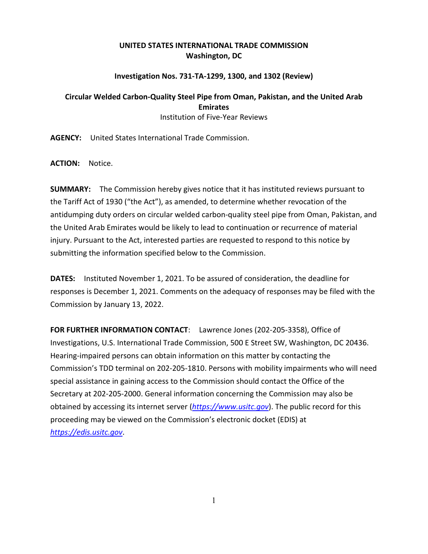## **UNITED STATES INTERNATIONAL TRADE COMMISSION Washington, DC**

## **Investigation Nos. 731-TA-1299, 1300, and 1302 (Review)**

## **Circular Welded Carbon-Quality Steel Pipe from Oman, Pakistan, and the United Arab Emirates** Institution of Five-Year Reviews

**AGENCY:** United States International Trade Commission.

**ACTION:** Notice.

**SUMMARY:** The Commission hereby gives notice that it has instituted reviews pursuant to the Tariff Act of 1930 ("the Act"), as amended, to determine whether revocation of the antidumping duty orders on circular welded carbon-quality steel pipe from Oman, Pakistan, and the United Arab Emirates would be likely to lead to continuation or recurrence of material injury. Pursuant to the Act, interested parties are requested to respond to this notice by submitting the information specified below to the Commission.

**DATES:** Instituted November 1, 2021. To be assured of consideration, the deadline for responses is December 1, 2021. Comments on the adequacy of responses may be filed with the Commission by January 13, 2022.

**FOR FURTHER INFORMATION CONTACT**: Lawrence Jones (202-205-3358), Office of Investigations, U.S. International Trade Commission, 500 E Street SW, Washington, DC 20436. Hearing-impaired persons can obtain information on this matter by contacting the Commission's TDD terminal on 202-205-1810. Persons with mobility impairments who will need special assistance in gaining access to the Commission should contact the Office of the Secretary at 202-205-2000. General information concerning the Commission may also be obtained by accessing its internet server (*[https://www.usitc.gov](https://www.usitc.gov/)*). The public record for this proceeding may be viewed on the Commission's electronic docket (EDIS) at *[https://edis.usitc.gov](https://edis.usitc.gov/)*.

1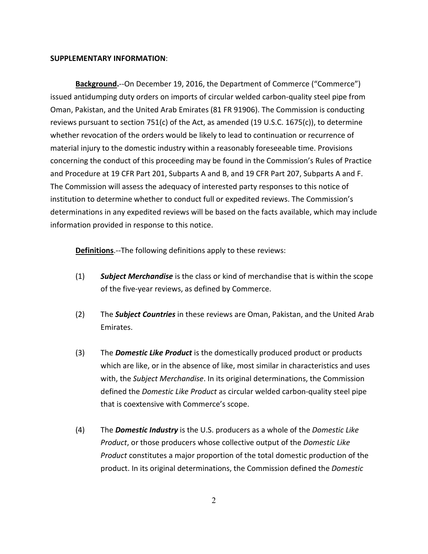## **SUPPLEMENTARY INFORMATION**:

**Background.**--On December 19, 2016, the Department of Commerce ("Commerce") issued antidumping duty orders on imports of circular welded carbon-quality steel pipe from Oman, Pakistan, and the United Arab Emirates (81 FR 91906). The Commission is conducting reviews pursuant to section 751(c) of the Act, as amended (19 U.S.C. 1675(c)), to determine whether revocation of the orders would be likely to lead to continuation or recurrence of material injury to the domestic industry within a reasonably foreseeable time. Provisions concerning the conduct of this proceeding may be found in the Commission's Rules of Practice and Procedure at 19 CFR Part 201, Subparts A and B, and 19 CFR Part 207, Subparts A and F. The Commission will assess the adequacy of interested party responses to this notice of institution to determine whether to conduct full or expedited reviews. The Commission's determinations in any expedited reviews will be based on the facts available, which may include information provided in response to this notice.

**Definitions**.--The following definitions apply to these reviews:

- (1) *Subject Merchandise* is the class or kind of merchandise that is within the scope of the five-year reviews, as defined by Commerce.
- (2) The *Subject Countries* in these reviews are Oman, Pakistan, and the United Arab Emirates.
- (3) The *Domestic Like Product* is the domestically produced product or products which are like, or in the absence of like, most similar in characteristics and uses with, the *Subject Merchandise*. In its original determinations, the Commission defined the *Domestic Like Product* as circular welded carbon-quality steel pipe that is coextensive with Commerce's scope.
- (4) The *Domestic Industry* is the U.S. producers as a whole of the *Domestic Like Product*, or those producers whose collective output of the *Domestic Like Product* constitutes a major proportion of the total domestic production of the product. In its original determinations, the Commission defined the *Domestic*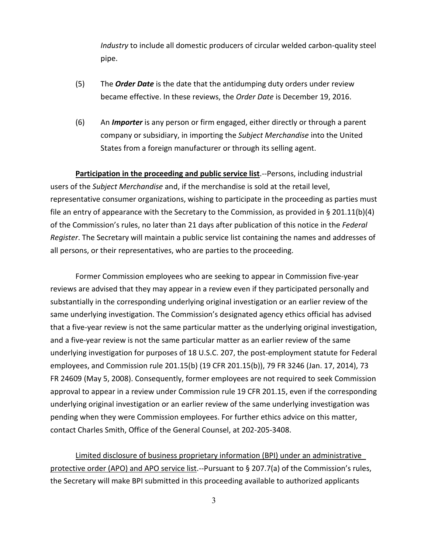*Industry* to include all domestic producers of circular welded carbon-quality steel pipe.

- (5) The *Order Date* is the date that the antidumping duty orders under review became effective. In these reviews, the *Order Date* is December 19, 2016.
- (6) An *Importer* is any person or firm engaged, either directly or through a parent company or subsidiary, in importing the *Subject Merchandise* into the United States from a foreign manufacturer or through its selling agent.

**Participation in the proceeding and public service list**.--Persons, including industrial users of the *Subject Merchandise* and, if the merchandise is sold at the retail level, representative consumer organizations, wishing to participate in the proceeding as parties must file an entry of appearance with the Secretary to the Commission, as provided in § 201.11(b)(4) of the Commission's rules, no later than 21 days after publication of this notice in the *Federal Register*. The Secretary will maintain a public service list containing the names and addresses of all persons, or their representatives, who are parties to the proceeding.

Former Commission employees who are seeking to appear in Commission five-year reviews are advised that they may appear in a review even if they participated personally and substantially in the corresponding underlying original investigation or an earlier review of the same underlying investigation. The Commission's designated agency ethics official has advised that a five-year review is not the same particular matter as the underlying original investigation, and a five-year review is not the same particular matter as an earlier review of the same underlying investigation for purposes of 18 U.S.C. 207, the post-employment statute for Federal employees, and Commission rule 201.15(b) (19 CFR 201.15(b)), 79 FR 3246 (Jan. 17, 2014), 73 FR 24609 (May 5, 2008). Consequently, former employees are not required to seek Commission approval to appear in a review under Commission rule 19 CFR 201.15, even if the corresponding underlying original investigation or an earlier review of the same underlying investigation was pending when they were Commission employees. For further ethics advice on this matter, contact Charles Smith, Office of the General Counsel, at 202-205-3408.

Limited disclosure of business proprietary information (BPI) under an administrative protective order (APO) and APO service list.--Pursuant to § 207.7(a) of the Commission's rules, the Secretary will make BPI submitted in this proceeding available to authorized applicants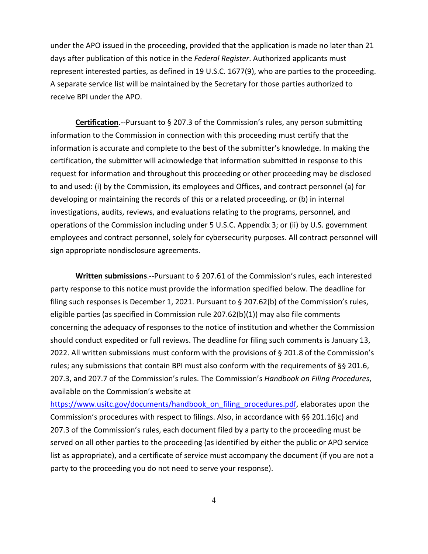under the APO issued in the proceeding, provided that the application is made no later than 21 days after publication of this notice in the *Federal Register*. Authorized applicants must represent interested parties, as defined in 19 U.S.C. 1677(9), who are parties to the proceeding. A separate service list will be maintained by the Secretary for those parties authorized to receive BPI under the APO.

**Certification**.--Pursuant to § 207.3 of the Commission's rules, any person submitting information to the Commission in connection with this proceeding must certify that the information is accurate and complete to the best of the submitter's knowledge. In making the certification, the submitter will acknowledge that information submitted in response to this request for information and throughout this proceeding or other proceeding may be disclosed to and used: (i) by the Commission, its employees and Offices, and contract personnel (a) for developing or maintaining the records of this or a related proceeding, or (b) in internal investigations, audits, reviews, and evaluations relating to the programs, personnel, and operations of the Commission including under 5 U.S.C. Appendix 3; or (ii) by U.S. government employees and contract personnel, solely for cybersecurity purposes. All contract personnel will sign appropriate nondisclosure agreements.

**Written submissions**.--Pursuant to § 207.61 of the Commission's rules, each interested party response to this notice must provide the information specified below. The deadline for filing such responses is December 1, 2021. Pursuant to § 207.62(b) of the Commission's rules, eligible parties (as specified in Commission rule 207.62(b)(1)) may also file comments concerning the adequacy of responses to the notice of institution and whether the Commission should conduct expedited or full reviews. The deadline for filing such comments is January 13, 2022. All written submissions must conform with the provisions of § 201.8 of the Commission's rules; any submissions that contain BPI must also conform with the requirements of §§ 201.6, 207.3, and 207.7 of the Commission's rules. The Commission's *Handbook on Filing Procedures*, available on the Commission's website at

[https://www.usitc.gov/documents/handbook\\_on\\_filing\\_procedures.pdf,](https://www.usitc.gov/documents/handbook_on_filing_procedures.pdf) elaborates upon the Commission's procedures with respect to filings. Also, in accordance with §§ 201.16(c) and 207.3 of the Commission's rules, each document filed by a party to the proceeding must be served on all other parties to the proceeding (as identified by either the public or APO service list as appropriate), and a certificate of service must accompany the document (if you are not a party to the proceeding you do not need to serve your response).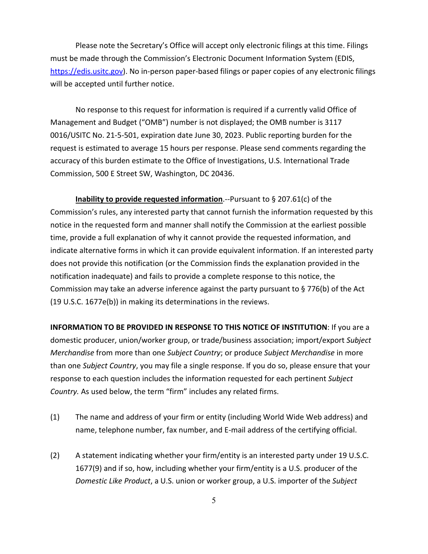Please note the Secretary's Office will accept only electronic filings at this time. Filings must be made through the Commission's Electronic Document Information System (EDIS, [https://edis.usitc.gov\)](https://edis.usitc.gov/). No in-person paper-based filings or paper copies of any electronic filings will be accepted until further notice.

No response to this request for information is required if a currently valid Office of Management and Budget ("OMB") number is not displayed; the OMB number is 3117 0016/USITC No. 21-5-501, expiration date June 30, 2023. Public reporting burden for the request is estimated to average 15 hours per response. Please send comments regarding the accuracy of this burden estimate to the Office of Investigations, U.S. International Trade Commission, 500 E Street SW, Washington, DC 20436.

**Inability to provide requested information**.--Pursuant to § 207.61(c) of the Commission's rules, any interested party that cannot furnish the information requested by this notice in the requested form and manner shall notify the Commission at the earliest possible time, provide a full explanation of why it cannot provide the requested information, and indicate alternative forms in which it can provide equivalent information. If an interested party does not provide this notification (or the Commission finds the explanation provided in the notification inadequate) and fails to provide a complete response to this notice, the Commission may take an adverse inference against the party pursuant to § 776(b) of the Act (19 U.S.C. 1677e(b)) in making its determinations in the reviews.

**INFORMATION TO BE PROVIDED IN RESPONSE TO THIS NOTICE OF INSTITUTION**: If you are a domestic producer, union/worker group, or trade/business association; import/export *Subject Merchandise* from more than one *Subject Country*; or produce *Subject Merchandise* in more than one *Subject Country*, you may file a single response. If you do so, please ensure that your response to each question includes the information requested for each pertinent *Subject Country.* As used below, the term "firm" includes any related firms.

- (1) The name and address of your firm or entity (including World Wide Web address) and name, telephone number, fax number, and E-mail address of the certifying official.
- (2) A statement indicating whether your firm/entity is an interested party under 19 U.S.C. 1677(9) and if so, how, including whether your firm/entity is a U.S. producer of the *Domestic Like Product*, a U.S. union or worker group, a U.S. importer of the *Subject*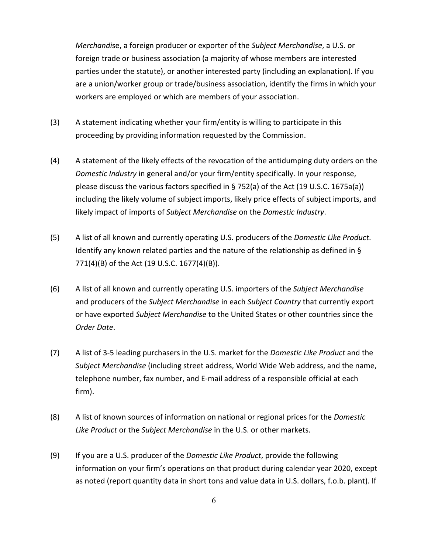*Merchandi*se, a foreign producer or exporter of the *Subject Merchandise*, a U.S. or foreign trade or business association (a majority of whose members are interested parties under the statute), or another interested party (including an explanation). If you are a union/worker group or trade/business association, identify the firms in which your workers are employed or which are members of your association.

- (3) A statement indicating whether your firm/entity is willing to participate in this proceeding by providing information requested by the Commission.
- (4) A statement of the likely effects of the revocation of the antidumping duty orders on the *Domestic Industry* in general and/or your firm/entity specifically. In your response, please discuss the various factors specified in  $\S$  752(a) of the Act (19 U.S.C. 1675a(a)) including the likely volume of subject imports, likely price effects of subject imports, and likely impact of imports of *Subject Merchandise* on the *Domestic Industry*.
- (5) A list of all known and currently operating U.S. producers of the *Domestic Like Product*. Identify any known related parties and the nature of the relationship as defined in § 771(4)(B) of the Act (19 U.S.C. 1677(4)(B)).
- (6) A list of all known and currently operating U.S. importers of the *Subject Merchandise* and producers of the *Subject Merchandise* in each *Subject Country* that currently export or have exported *Subject Merchandise* to the United States or other countries since the *Order Date*.
- (7) A list of 3-5 leading purchasers in the U.S. market for the *Domestic Like Product* and the *Subject Merchandise* (including street address, World Wide Web address, and the name, telephone number, fax number, and E-mail address of a responsible official at each firm).
- (8) A list of known sources of information on national or regional prices for the *Domestic Like Product* or the *Subject Merchandise* in the U.S. or other markets.
- (9) If you are a U.S. producer of the *Domestic Like Product*, provide the following information on your firm's operations on that product during calendar year 2020, except as noted (report quantity data in short tons and value data in U.S. dollars, f.o.b. plant). If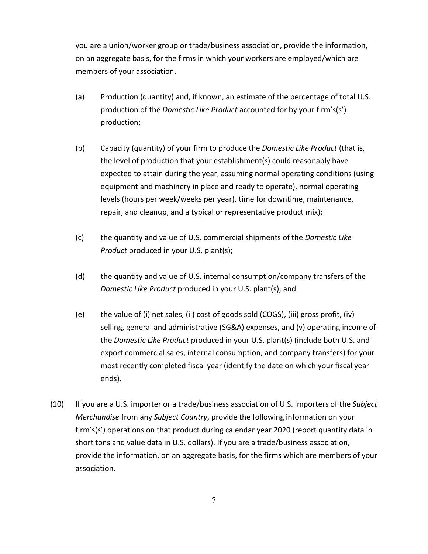you are a union/worker group or trade/business association, provide the information, on an aggregate basis, for the firms in which your workers are employed/which are members of your association.

- (a) Production (quantity) and, if known, an estimate of the percentage of total U.S. production of the *Domestic Like Product* accounted for by your firm's(s') production;
- (b) Capacity (quantity) of your firm to produce the *Domestic Like Product* (that is, the level of production that your establishment(s) could reasonably have expected to attain during the year, assuming normal operating conditions (using equipment and machinery in place and ready to operate), normal operating levels (hours per week/weeks per year), time for downtime, maintenance, repair, and cleanup, and a typical or representative product mix);
- (c) the quantity and value of U.S. commercial shipments of the *Domestic Like Product* produced in your U.S. plant(s);
- (d) the quantity and value of U.S. internal consumption/company transfers of the *Domestic Like Product* produced in your U.S. plant(s); and
- (e) the value of (i) net sales, (ii) cost of goods sold (COGS), (iii) gross profit, (iv) selling, general and administrative (SG&A) expenses, and (v) operating income of the *Domestic Like Product* produced in your U.S. plant(s) (include both U.S. and export commercial sales, internal consumption, and company transfers) for your most recently completed fiscal year (identify the date on which your fiscal year ends).
- (10) If you are a U.S. importer or a trade/business association of U.S. importers of the *Subject Merchandise* from any *Subject Country*, provide the following information on your firm's(s') operations on that product during calendar year 2020 (report quantity data in short tons and value data in U.S. dollars). If you are a trade/business association, provide the information, on an aggregate basis, for the firms which are members of your association.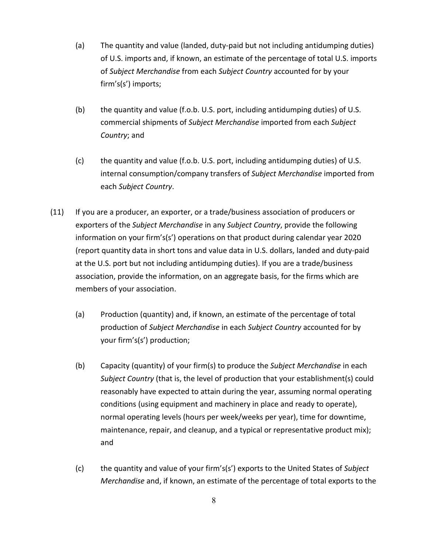- (a) The quantity and value (landed, duty-paid but not including antidumping duties) of U.S. imports and, if known, an estimate of the percentage of total U.S. imports of *Subject Merchandise* from each *Subject Country* accounted for by your firm's(s') imports;
- (b) the quantity and value (f.o.b. U.S. port, including antidumping duties) of U.S. commercial shipments of *Subject Merchandise* imported from each *Subject Country*; and
- (c) the quantity and value (f.o.b. U.S. port, including antidumping duties) of U.S. internal consumption/company transfers of *Subject Merchandise* imported from each *Subject Country*.
- (11) If you are a producer, an exporter, or a trade/business association of producers or exporters of the *Subject Merchandise* in any *Subject Country*, provide the following information on your firm's(s') operations on that product during calendar year 2020 (report quantity data in short tons and value data in U.S. dollars, landed and duty-paid at the U.S. port but not including antidumping duties). If you are a trade/business association, provide the information, on an aggregate basis, for the firms which are members of your association.
	- (a) Production (quantity) and, if known, an estimate of the percentage of total production of *Subject Merchandise* in each *Subject Country* accounted for by your firm's(s') production;
	- (b) Capacity (quantity) of your firm(s) to produce the *Subject Merchandise* in each *Subject Country* (that is, the level of production that your establishment(s) could reasonably have expected to attain during the year, assuming normal operating conditions (using equipment and machinery in place and ready to operate), normal operating levels (hours per week/weeks per year), time for downtime, maintenance, repair, and cleanup, and a typical or representative product mix); and
	- (c) the quantity and value of your firm's(s') exports to the United States of *Subject Merchandise* and, if known, an estimate of the percentage of total exports to the